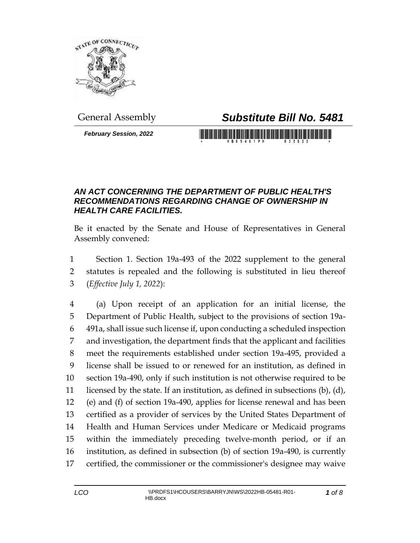

## General Assembly *Substitute Bill No. 5481*

*February Session, 2022*

<u> 1989 - Johann Maria Maria Maria Maria Maria Maria Maria Maria Maria Maria Maria Maria Maria Maria Maria Mari</u>

## *AN ACT CONCERNING THE DEPARTMENT OF PUBLIC HEALTH'S RECOMMENDATIONS REGARDING CHANGE OF OWNERSHIP IN HEALTH CARE FACILITIES.*

Be it enacted by the Senate and House of Representatives in General Assembly convened:

 Section 1. Section 19a-493 of the 2022 supplement to the general statutes is repealed and the following is substituted in lieu thereof (*Effective July 1, 2022*):

 (a) Upon receipt of an application for an initial license, the Department of Public Health, subject to the provisions of section 19a- 491a, shall issue such license if, upon conducting a scheduled inspection and investigation, the department finds that the applicant and facilities meet the requirements established under section 19a-495, provided a license shall be issued to or renewed for an institution, as defined in section 19a-490, only if such institution is not otherwise required to be licensed by the state. If an institution, as defined in subsections (b), (d), (e) and (f) of section 19a-490, applies for license renewal and has been certified as a provider of services by the United States Department of Health and Human Services under Medicare or Medicaid programs within the immediately preceding twelve-month period, or if an institution, as defined in subsection (b) of section 19a-490, is currently certified, the commissioner or the commissioner's designee may waive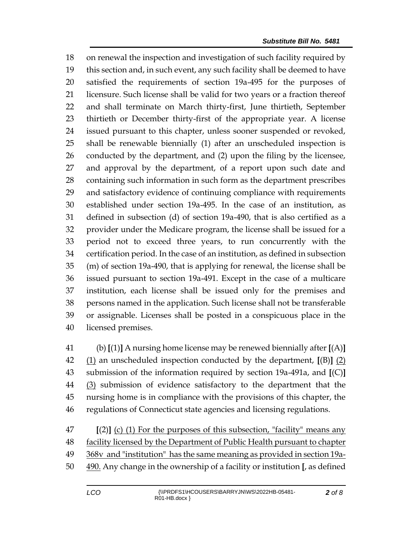on renewal the inspection and investigation of such facility required by this section and, in such event, any such facility shall be deemed to have satisfied the requirements of section 19a-495 for the purposes of licensure. Such license shall be valid for two years or a fraction thereof and shall terminate on March thirty-first, June thirtieth, September thirtieth or December thirty-first of the appropriate year. A license issued pursuant to this chapter, unless sooner suspended or revoked, shall be renewable biennially (1) after an unscheduled inspection is conducted by the department, and (2) upon the filing by the licensee, and approval by the department, of a report upon such date and containing such information in such form as the department prescribes and satisfactory evidence of continuing compliance with requirements established under section 19a-495. In the case of an institution, as defined in subsection (d) of section 19a-490, that is also certified as a provider under the Medicare program, the license shall be issued for a period not to exceed three years, to run concurrently with the certification period. In the case of an institution, as defined in subsection (m) of section 19a-490, that is applying for renewal, the license shall be issued pursuant to section 19a-491. Except in the case of a multicare institution, each license shall be issued only for the premises and persons named in the application. Such license shall not be transferable or assignable. Licenses shall be posted in a conspicuous place in the licensed premises.

 (b) **[**(1)**]** A nursing home license may be renewed biennially after **[**(A)**]** (1) an unscheduled inspection conducted by the department, **[**(B)**]** (2) submission of the information required by section 19a-491a, and **[**(C)**]** (3) submission of evidence satisfactory to the department that the nursing home is in compliance with the provisions of this chapter, the regulations of Connecticut state agencies and licensing regulations.

 **[**(2)**]** (c) (1) For the purposes of this subsection, "facility" means any facility licensed by the Department of Public Health pursuant to chapter 49 368v and "institution" has the same meaning as provided in section 19a-490. Any change in the ownership of a facility or institution **[**, as defined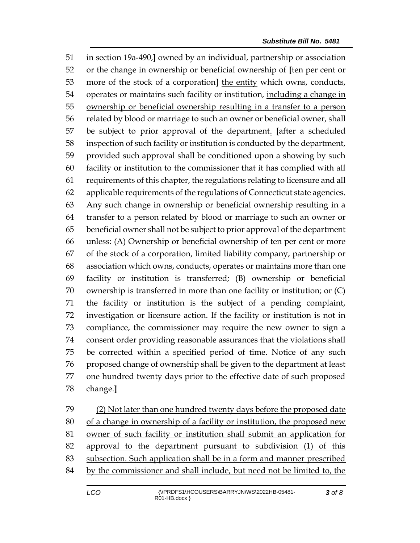in section 19a-490,**]** owned by an individual, partnership or association or the change in ownership or beneficial ownership of **[**ten per cent or more of the stock of a corporation**]** the entity which owns, conducts, operates or maintains such facility or institution, including a change in ownership or beneficial ownership resulting in a transfer to a person 56 related by blood or marriage to such an owner or beneficial owner, shall be subject to prior approval of the department. **[**after a scheduled inspection of such facility or institution is conducted by the department, provided such approval shall be conditioned upon a showing by such facility or institution to the commissioner that it has complied with all requirements of this chapter, the regulations relating to licensure and all applicable requirements of the regulations of Connecticut state agencies. Any such change in ownership or beneficial ownership resulting in a transfer to a person related by blood or marriage to such an owner or beneficial owner shall not be subject to prior approval of the department unless: (A) Ownership or beneficial ownership of ten per cent or more of the stock of a corporation, limited liability company, partnership or association which owns, conducts, operates or maintains more than one facility or institution is transferred; (B) ownership or beneficial ownership is transferred in more than one facility or institution; or (C) the facility or institution is the subject of a pending complaint, investigation or licensure action. If the facility or institution is not in compliance, the commissioner may require the new owner to sign a consent order providing reasonable assurances that the violations shall be corrected within a specified period of time. Notice of any such proposed change of ownership shall be given to the department at least one hundred twenty days prior to the effective date of such proposed change.**]**

 (2) Not later than one hundred twenty days before the proposed date of a change in ownership of a facility or institution, the proposed new owner of such facility or institution shall submit an application for approval to the department pursuant to subdivision (1) of this 83 subsection. Such application shall be in a form and manner prescribed 84 by the commissioner and shall include, but need not be limited to, the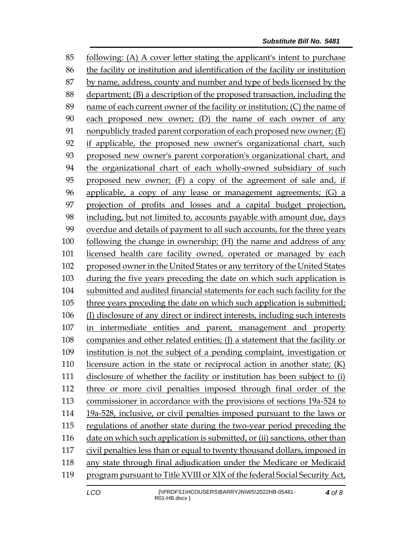following: (A) A cover letter stating the applicant's intent to purchase the facility or institution and identification of the facility or institution by name, address, county and number and type of beds licensed by the department; (B) a description of the proposed transaction, including the name of each current owner of the facility or institution; (C) the name of each proposed new owner; (D) the name of each owner of any nonpublicly traded parent corporation of each proposed new owner; (E) if applicable, the proposed new owner's organizational chart, such proposed new owner's parent corporation's organizational chart, and the organizational chart of each wholly-owned subsidiary of such proposed new owner; (F) a copy of the agreement of sale and, if applicable, a copy of any lease or management agreements; (G) a projection of profits and losses and a capital budget projection, including, but not limited to, accounts payable with amount due, days overdue and details of payment to all such accounts, for the three years following the change in ownership; (H) the name and address of any licensed health care facility owned, operated or managed by each proposed owner in the United States or any territory of the United States during the five years preceding the date on which such application is submitted and audited financial statements for each such facility for the three years preceding the date on which such application is submitted; (I) disclosure of any direct or indirect interests, including such interests in intermediate entities and parent, management and property companies and other related entities; (J) a statement that the facility or institution is not the subject of a pending complaint, investigation or licensure action in the state or reciprocal action in another state; (K) disclosure of whether the facility or institution has been subject to (i) three or more civil penalties imposed through final order of the commissioner in accordance with the provisions of sections 19a-524 to 19a-528, inclusive, or civil penalties imposed pursuant to the laws or regulations of another state during the two-year period preceding the date on which such application is submitted, or (ii) sanctions, other than civil penalties less than or equal to twenty thousand dollars, imposed in any state through final adjudication under the Medicare or Medicaid program pursuant to Title XVIII or XIX of the federal Social Security Act,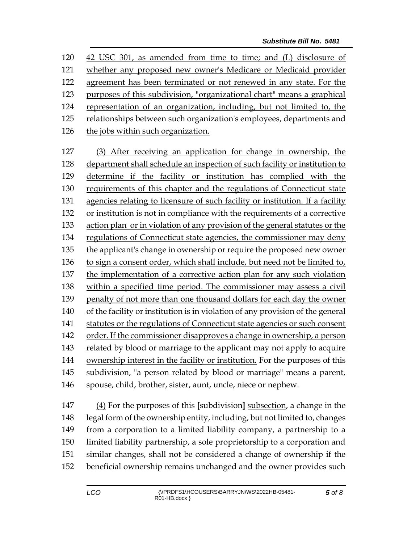42 USC 301, as amended from time to time; and (L) disclosure of whether any proposed new owner's Medicare or Medicaid provider agreement has been terminated or not renewed in any state. For the purposes of this subdivision, "organizational chart" means a graphical representation of an organization, including, but not limited to, the relationships between such organization's employees, departments and the jobs within such organization. (3) After receiving an application for change in ownership, the department shall schedule an inspection of such facility or institution to determine if the facility or institution has complied with the requirements of this chapter and the regulations of Connecticut state agencies relating to licensure of such facility or institution. If a facility or institution is not in compliance with the requirements of a corrective action plan or in violation of any provision of the general statutes or the regulations of Connecticut state agencies, the commissioner may deny 135 the applicant's change in ownership or require the proposed new owner 136 to sign a consent order, which shall include, but need not be limited to, the implementation of a corrective action plan for any such violation within a specified time period. The commissioner may assess a civil penalty of not more than one thousand dollars for each day the owner of the facility or institution is in violation of any provision of the general statutes or the regulations of Connecticut state agencies or such consent order. If the commissioner disapproves a change in ownership, a person related by blood or marriage to the applicant may not apply to acquire ownership interest in the facility or institution. For the purposes of this subdivision, "a person related by blood or marriage" means a parent, spouse, child, brother, sister, aunt, uncle, niece or nephew.

 (4) For the purposes of this **[**subdivision**]** subsection, a change in the legal form of the ownership entity, including, but not limited to, changes from a corporation to a limited liability company, a partnership to a limited liability partnership, a sole proprietorship to a corporation and similar changes, shall not be considered a change of ownership if the beneficial ownership remains unchanged and the owner provides such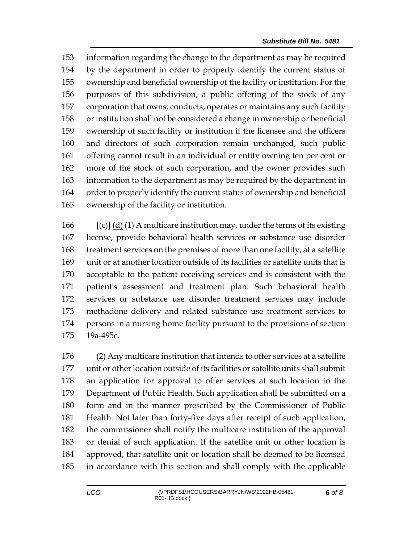information regarding the change to the department as may be required by the department in order to properly identify the current status of ownership and beneficial ownership of the facility or institution. For the purposes of this subdivision, a public offering of the stock of any corporation that owns, conducts, operates or maintains any such facility or institution shall not be considered a change in ownership or beneficial ownership of such facility or institution if the licensee and the officers and directors of such corporation remain unchanged, such public offering cannot result in an individual or entity owning ten per cent or more of the stock of such corporation, and the owner provides such information to the department as may be required by the department in order to properly identify the current status of ownership and beneficial ownership of the facility or institution.

 **[**(c)**]** (d) (1) A multicare institution may, under the terms of its existing license, provide behavioral health services or substance use disorder treatment services on the premises of more than one facility, at a satellite unit or at another location outside of its facilities or satellite units that is acceptable to the patient receiving services and is consistent with the patient's assessment and treatment plan. Such behavioral health services or substance use disorder treatment services may include methadone delivery and related substance use treatment services to persons in a nursing home facility pursuant to the provisions of section 19a-495c.

 (2) Any multicare institution that intends to offer services at a satellite unit or other location outside of its facilities or satellite units shall submit an application for approval to offer services at such location to the Department of Public Health. Such application shall be submitted on a form and in the manner prescribed by the Commissioner of Public Health. Not later than forty-five days after receipt of such application, the commissioner shall notify the multicare institution of the approval or denial of such application. If the satellite unit or other location is approved, that satellite unit or location shall be deemed to be licensed in accordance with this section and shall comply with the applicable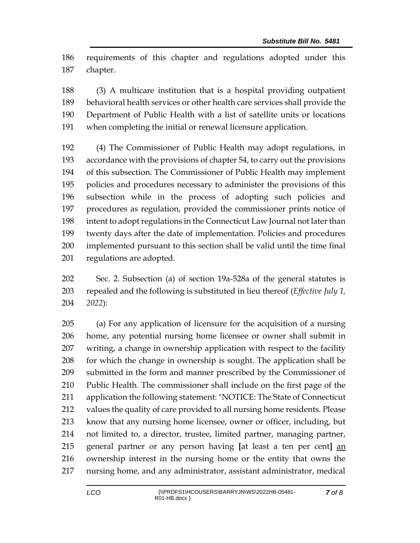requirements of this chapter and regulations adopted under this chapter.

 (3) A multicare institution that is a hospital providing outpatient behavioral health services or other health care services shall provide the Department of Public Health with a list of satellite units or locations when completing the initial or renewal licensure application.

 (4) The Commissioner of Public Health may adopt regulations, in accordance with the provisions of chapter 54, to carry out the provisions of this subsection. The Commissioner of Public Health may implement policies and procedures necessary to administer the provisions of this subsection while in the process of adopting such policies and procedures as regulation, provided the commissioner prints notice of intent to adopt regulations in the Connecticut Law Journal not later than twenty days after the date of implementation. Policies and procedures implemented pursuant to this section shall be valid until the time final regulations are adopted.

 Sec. 2. Subsection (a) of section 19a-528a of the general statutes is repealed and the following is substituted in lieu thereof (*Effective July 1, 2022*):

 (a) For any application of licensure for the acquisition of a nursing home, any potential nursing home licensee or owner shall submit in writing, a change in ownership application with respect to the facility for which the change in ownership is sought. The application shall be submitted in the form and manner prescribed by the Commissioner of Public Health. The commissioner shall include on the first page of the application the following statement: "NOTICE: The State of Connecticut values the quality of care provided to all nursing home residents. Please know that any nursing home licensee, owner or officer, including, but not limited to, a director, trustee, limited partner, managing partner, general partner or any person having **[**at least a ten per cent**]** an ownership interest in the nursing home or the entity that owns the nursing home, and any administrator, assistant administrator, medical